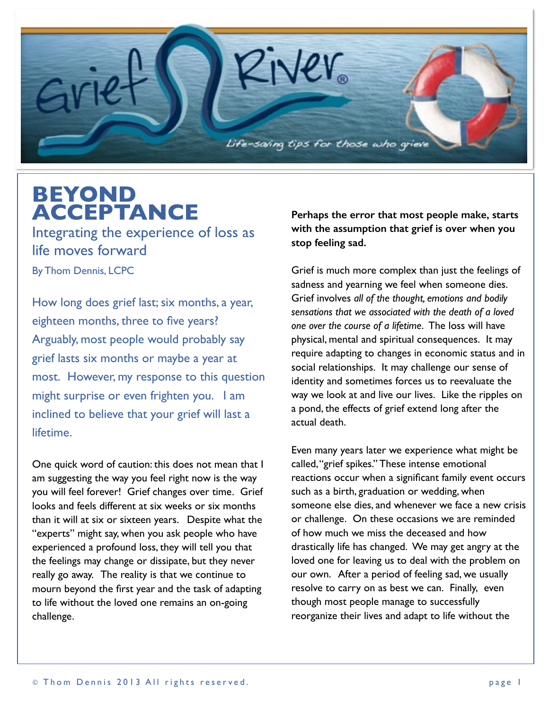

## **BEYOND ACCEPTANCE**

Integrating the experience of loss as life moves forward

By Thom Dennis, LCPC

How long does grief last; six months, a year, eighteen months, three to five years? Arguably, most people would probably say grief lasts six months or maybe a year at most. However, my response to this question might surprise or even frighten you. I am inclined to believe that your grief will last a lifetime.

One quick word of caution: this does not mean that I am suggesting the way you feel right now is the way you will feel forever! Grief changes over time. Grief looks and feels different at six weeks or six months than it will at six or sixteen years. Despite what the "experts" might say, when you ask people who have experienced a profound loss, they will tell you that the feelings may change or dissipate, but they never really go away. The reality is that we continue to mourn beyond the first year and the task of adapting to life without the loved one remains an on-going challenge.

**Perhaps the error that most people make, starts with the assumption that grief is over when you stop feeling sad.**

Grief is much more complex than just the feelings of sadness and yearning we feel when someone dies. Grief involves *all of the thought, emotions and bodily sensations that we associated with the death of a loved one over the course of a lifetime*. The loss will have physical, mental and spiritual consequences. It may require adapting to changes in economic status and in social relationships. It may challenge our sense of identity and sometimes forces us to reevaluate the way we look at and live our lives. Like the ripples on a pond, the effects of grief extend long after the actual death.

Even many years later we experience what might be called, "grief spikes." These intense emotional reactions occur when a significant family event occurs such as a birth, graduation or wedding, when someone else dies, and whenever we face a new crisis or challenge. On these occasions we are reminded of how much we miss the deceased and how drastically life has changed. We may get angry at the loved one for leaving us to deal with the problem on our own. After a period of feeling sad, we usually resolve to carry on as best we can. Finally, even though most people manage to successfully reorganize their lives and adapt to life without the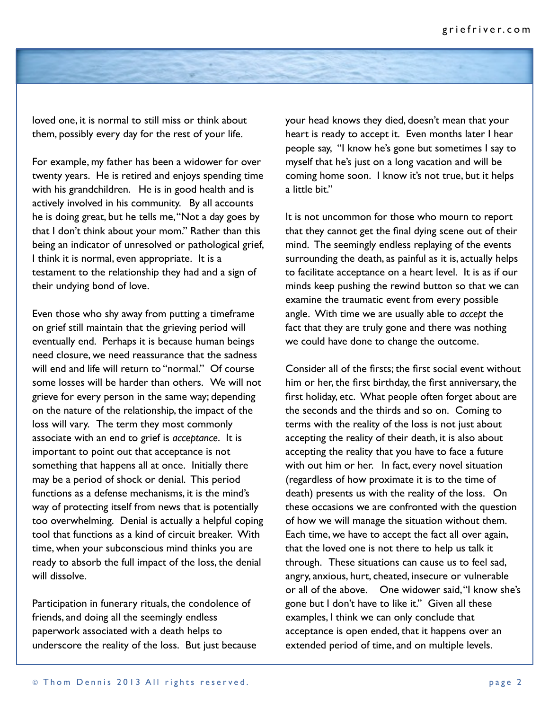

loved one, it is normal to still miss or think about them, possibly every day for the rest of your life.

For example, my father has been a widower for over twenty years. He is retired and enjoys spending time with his grandchildren. He is in good health and is actively involved in his community. By all accounts he is doing great, but he tells me, "Not a day goes by that I don't think about your mom." Rather than this being an indicator of unresolved or pathological grief, I think it is normal, even appropriate. It is a testament to the relationship they had and a sign of their undying bond of love.

Even those who shy away from putting a timeframe on grief still maintain that the grieving period will eventually end. Perhaps it is because human beings need closure, we need reassurance that the sadness will end and life will return to "normal." Of course some losses will be harder than others. We will not grieve for every person in the same way; depending on the nature of the relationship, the impact of the loss will vary. The term they most commonly associate with an end to grief is *acceptance*. It is important to point out that acceptance is not something that happens all at once. Initially there may be a period of shock or denial. This period functions as a defense mechanisms, it is the mind's way of protecting itself from news that is potentially too overwhelming. Denial is actually a helpful coping tool that functions as a kind of circuit breaker. With time, when your subconscious mind thinks you are ready to absorb the full impact of the loss, the denial will dissolve.

Participation in funerary rituals, the condolence of friends, and doing all the seemingly endless paperwork associated with a death helps to underscore the reality of the loss. But just because your head knows they died, doesn't mean that your heart is ready to accept it. Even months later I hear people say, "I know he's gone but sometimes I say to myself that he's just on a long vacation and will be coming home soon. I know it's not true, but it helps a little bit."

It is not uncommon for those who mourn to report that they cannot get the final dying scene out of their mind. The seemingly endless replaying of the events surrounding the death, as painful as it is, actually helps to facilitate acceptance on a heart level. It is as if our minds keep pushing the rewind button so that we can examine the traumatic event from every possible angle. With time we are usually able to *accept* the fact that they are truly gone and there was nothing we could have done to change the outcome.

Consider all of the firsts; the first social event without him or her, the first birthday, the first anniversary, the first holiday, etc. What people often forget about are the seconds and the thirds and so on. Coming to terms with the reality of the loss is not just about accepting the reality of their death, it is also about accepting the reality that you have to face a future with out him or her. In fact, every novel situation (regardless of how proximate it is to the time of death) presents us with the reality of the loss. On these occasions we are confronted with the question of how we will manage the situation without them. Each time, we have to accept the fact all over again, that the loved one is not there to help us talk it through. These situations can cause us to feel sad, angry, anxious, hurt, cheated, insecure or vulnerable or all of the above. One widower said, "I know she's gone but I don't have to like it." Given all these examples, I think we can only conclude that acceptance is open ended, that it happens over an extended period of time, and on multiple levels.